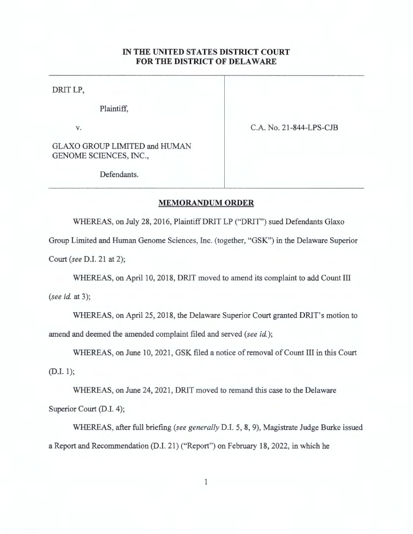## **IN THE UNITED STATES DISTRICT COURT FOR THE DISTRICT OF DELAWARE**

DRIT LP,

Plaintiff,

**V.** 

C.A. No. 21-844-LPS-CJB

GLAXO GROUP LIMITED and HUMAN GENOME SCIENCES, INC.,

Defendants.

## **MEMORANDUM ORDER**

WHEREAS, on July 28, 2016, Plaintiff DRIT LP ("DRIT") sued Defendants Glaxo

Group Limited and Human Genome Sciences, Inc. (together, "GSK") in the Delaware Superior

Court *(see* D.I. 21 at 2);

WHEREAS, on April 10, 2018, DRIT moved to amend its complaint to add Count III

*(see id. at 3)*;

WHEREAS, on April 25, 2018, the Delaware Superior Court granted DRIT's motion to amend and deemed the amended complaint filed and served *(see* id.);

WHEREAS, on June 10, 2021, GSK filed a notice of removal of Count III in this Court (D.I. l);

WHEREAS, on June 24, 2021, DRIT moved to remand this case to the Delaware Superior Court (D.I. 4);

WHEREAS, after full briefing *(see generally* D.I. 5, 8, 9), Magistrate Judge Burke issued a Report and Recommendation (D.I. 21) ("Report") on February 18, 2022, in which he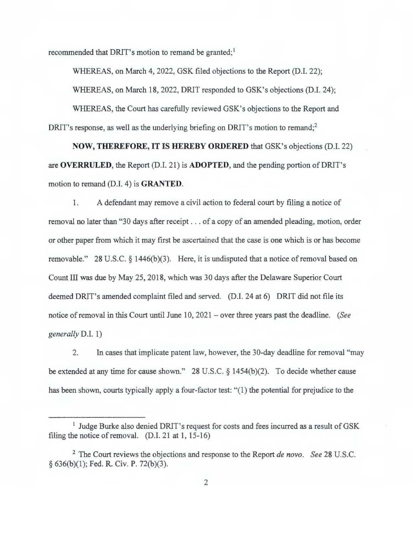recommended that DRIT's motion to remand be granted;<sup>1</sup>

WHEREAS, on March 4, 2022, GSK filed objections to the Report (D.I. 22);

WHEREAS, on March 18, 2022, DRIT responded to GSK's objections (D.I. 24);

WHEREAS, the Court has carefully reviewed GSK's objections to the Report and DRIT's response, as well as the underlying briefing on DRIT's motion to remand;<sup>2</sup>

**NOW, THEREFORE, IT IS HEREBY ORDERED** that GSK's objections (D.I. 22) are **OVERRULED,** the Report (D.I. 21) is **ADOPTED,** and the pending portion ofDRlT's motion to remand (D.I. 4) is **GRANTED.** 

1. A defendant may remove a civil action to federal court by filing a notice of removal no later than "30 days after receipt ... of a copy of an amended pleading, motion, order or other paper from which it may first be ascertained that the case is one which is or has become removable." 28 U.S.C.  $\S$  1446(b)(3). Here, it is undisputed that a notice of removal based on Count III was due by May 25, 2018, which was 30 days after the Delaware Superior Court deemed DRIT's amended complaint filed and served. (D.I. 24 at 6) DRIT did not file its notice of removal in this Court until June 10, 2021 - over three years past the deadline. *(See generally* D.I. 1)

2. In cases that implicate patent law, however, the 30-day deadline for removal "may be extended at any time for cause shown." 28 U.S.C. § 1454(b)(2). To decide whether cause has been shown, courts typically apply a four-factor test: "(1) the potential for prejudice to the

<sup>&</sup>lt;sup>1</sup> Judge Burke also denied DRIT's request for costs and fees incurred as a result of GSK filing the notice of removal.  $(D.I. 21$  at 1, 15-16)

<sup>2</sup>The Court reviews the objections and response to the Report *de novo. See* 28 U.S.C. § 636(b)(l); Fed. R. Civ. P. 72(b)(3).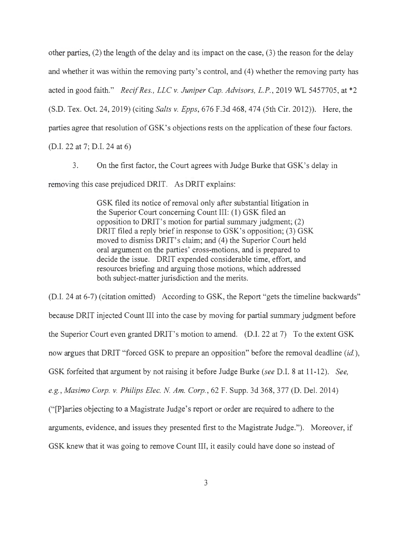other parties, (2) the length of the delay and its impact on the case, (3) the reason for the delay and whether it was within the removing party's control, and (4) whether the removing party has acted in good faith." *Recif Res., LLC v. Juniper Cap. Advisors, L.P.,* 2019 WL 5457705, at \*2 (S.D. Tex. Oct. 24, 2019) (citing *Salts v. Epps,* 676 F.3d 468, 474 (5th Cir. 2012)). Here, the parties agree that resolution of GSK' s objections rests on the application of these four factors.

(D.I. 22 at 7; D.I. 24 at 6)

3. On the first factor, the Court agrees with Judge Burke that GSK's delay in removing this case prejudiced DRIT. As DRIT explains:

> GSK filed its notice of removal only after substantial litigation in the Superior Court concerning Count III: (1) GSK filed an opposition to DRIT's motion for partial summary judgment; (2) DRIT filed a reply brief in response to GSK's opposition; (3) GSK moved to dismiss DRIT's claim; and (4) the Superior Court held oral argument on the parties' cross-motions, and is prepared to decide the issue. DRIT expended considerable time, effort, and resources briefing and arguing those motions, which addressed both subject-matter jurisdiction and the merits.

(D.I. 24 at 6-7) (citation omitted) According to GSK, the Report "gets the timeline backwards" because DRIT injected Count III into the case by moving for partial summary judgment before the Superior Court even granted DRIT's motion to amend. (D.I. 22 at 7) To the extent GSK now argues that DRIT "forced GSK to prepare an opposition" before the removal deadline *(id. ),*  GSK forfeited that argument by not raising it before Judge Burke *(see* D.I. 8 at 11-12). *See, e.g. , Masimo Corp. v. Philips Elec. N Am. Corp.,* 62 F. Supp. 3d 368, 377 (D. Del. 2014) (" [P]arties objecting to a Magistrate Judge's report or order are required to adhere to the arguments, evidence, and issues they presented first to the Magistrate Judge."). Moreover, if GSK knew that it was going to remove Count III, it easily could have done so instead of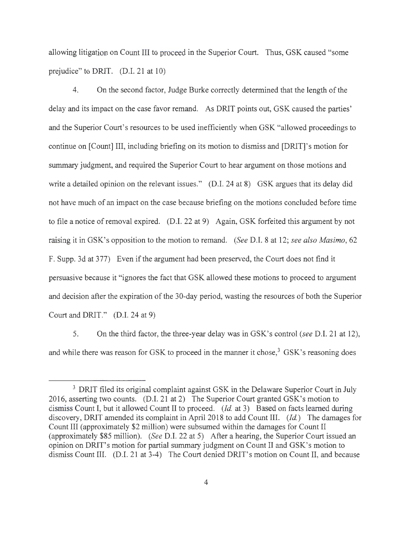allowing litigation on Count III to proceed in the Superior Court. Thus, GSK caused "some prejudice" to DRIT. (D.I. 21 at 10)

4. On the second factor, Judge Burke correctly determined that the length of the delay and its impact on the case favor remand. As DRIT points out, GSK caused the parties' and the Superior Court's resources to be used inefficiently when GSK "allowed proceedings to continue on [Count] III, including briefing on its motion to dismiss and [DRIT]'s motion for summary judgment, and required the Superior Court to hear argument on those motions and write a detailed opinion on the relevant issues." (D.I. 24 at 8) GSK argues that its delay did not have much of an impact on the case because briefing on the motions concluded before time to file a notice of removal expired. (D.I. 22 at 9) Again, GSK forfeited this argument by not raising it in GSK's opposition to the motion to remand. *(See* D.I. 8 at 12; *see also Masimo,* 62 F. Supp. 3d at 377) Even if the argument had been preserved, the Court does not find it persuasive because it "ignores the fact that GSK allowed these motions to proceed to argument and decision after the expiration of the 30-day period, wasting the resources of both the Superior Court and DRIT." (D.I. 24 at 9)

5. On the third factor, the three-year delay was in GSK's control *(see* D.I. 21 at 12), and while there was reason for GSK to proceed in the manner it chose,<sup>3</sup> GSK's reasoning does

<sup>&</sup>lt;sup>3</sup> DRIT filed its original complaint against GSK in the Delaware Superior Court in July 2016, asserting two counts. (D.I. 21 at 2) The Superior Court granted GSK's motion to dismiss Count I, but it allowed Count II to proceed. *(Id. at 3)* Based on facts learned during discovery, DRIT amended its complaint in April 2018 to add Count III. *(Id.)* The damages for Count III ( approximately \$2 million) were subsumed within the damages for Count II (approximately \$85 million). *(See* D.I. 22 at 5) After a hearing, the Superior Court issued an opinion on DRIT's motion for partial summary judgment on Count II and GSK's motion to dismiss Count III. (D.I. 21 at 3-4) The Court denied DRIT's motion on Count II, and because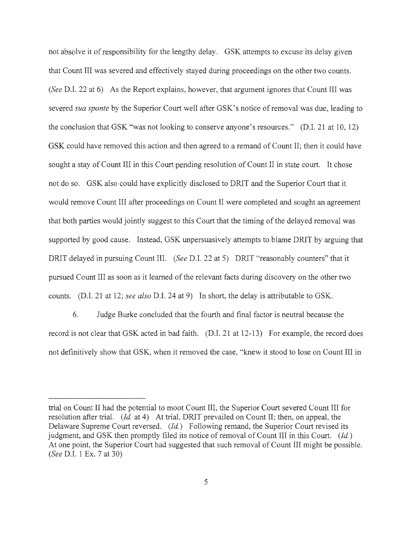not absolve it of responsibility for the lengthy delay. GSK attempts to excuse its delay given that Count III was severed and effectively stayed during proceedings on the other two counts. *(See* D.I. 22 at 6) As the Report explains, however, that argument ignores that Count III was severed *sua sponte* by the Superior Court well after GSK's notice ofremoval was due, leading to the conclusion that GSK "was not looking to conserve anyone 's resources." (D.I. 21 at 10, 12) GSK could have removed this action and then agreed to a remand of Count II; then it could have sought a stay of Count III in this Court pending resolution of Count II in state court. It chose not do so. GSK also could have explicitly disclosed to DRIT and the Superior Court that it would remove Count III after proceedings on Count II were completed and sought an agreement that both parties would jointly suggest to this Court that the timing of the delayed removal was supported by good cause. Instead, GSK unpersuasively attempts to blame DRIT by arguing that DRIT delayed in pursuing Count III. *(See* D.I. 22 at 5) DRIT "reasonably counters" that it pursued Count III as soon as it learned of the relevant facts during discovery on the other two counts. (D.I. 21 at 12; *see also* D.I. 24 at 9) In short, the delay is attributable to GSK.

6. Judge Burke concluded that the fourth and final factor is neutral because the record is not clear that GSK acted in bad faith. (D.I. 21 at 12-13) For example, the record does not definitively show that GSK, when it removed the case, "knew it stood to lose on Count III in

trial on Count II had the potential to moot Count III, the Superior Court severed Count III for resolution after trial. *(Id.* at 4) At trial, DRIT prevailed on Count II; then, on appeal, the Delaware Supreme Court reversed. *(Id.)* Following remand, the Superior Court revised its judgment, and GSK then promptly filed its notice of removal of Count III in this Court. *(Id.)*  At one point, the Superior Court had suggested that such removal of Count III might be possible. *(See* D.I. 1 Ex. 7 at 30)